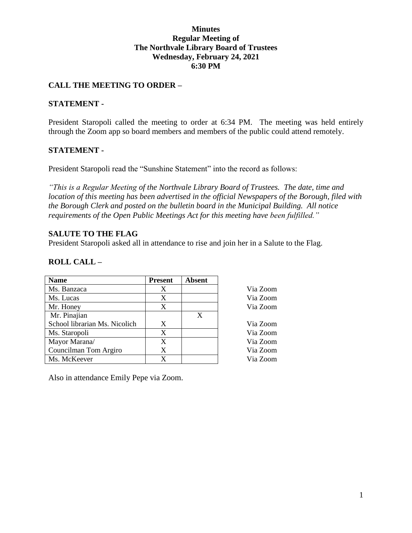#### **Minutes Regular Meeting of The Northvale Library Board of Trustees Wednesday, February 24, 2021 6:30 PM**

# **CALL THE MEETING TO ORDER –**

#### **STATEMENT -**

President Staropoli called the meeting to order at 6:34 PM. The meeting was held entirely through the Zoom app so board members and members of the public could attend remotely.

#### **STATEMENT -**

President Staropoli read the "Sunshine Statement" into the record as follows:

*"This is a Regular Meeting of the Northvale Library Board of Trustees. The date, time and location of this meeting has been advertised in the official Newspapers of the Borough, filed with the Borough Clerk and posted on the bulletin board in the Municipal Building. All notice requirements of the Open Public Meetings Act for this meeting have been fulfilled."* 

#### **SALUTE TO THE FLAG**

President Staropoli asked all in attendance to rise and join her in a Salute to the Flag.

### **ROLL CALL –**

| <b>Name</b>                   | <b>Present</b> | <b>Absent</b> |          |
|-------------------------------|----------------|---------------|----------|
| Ms. Banzaca                   | X              |               | Via Zoom |
| Ms. Lucas                     | X              |               | Via Zoom |
| Mr. Honey                     | X              |               | Via Zoom |
| Mr. Pinajian                  |                | X             |          |
| School librarian Ms. Nicolich | X              |               | Via Zoom |
| Ms. Staropoli                 | X              |               | Via Zoom |
| Mayor Marana/                 | X              |               | Via Zoom |
| Councilman Tom Argiro         | X              |               | Via Zoom |
| Ms. McKeever                  | X              |               | Via Zoom |

Also in attendance Emily Pepe via Zoom.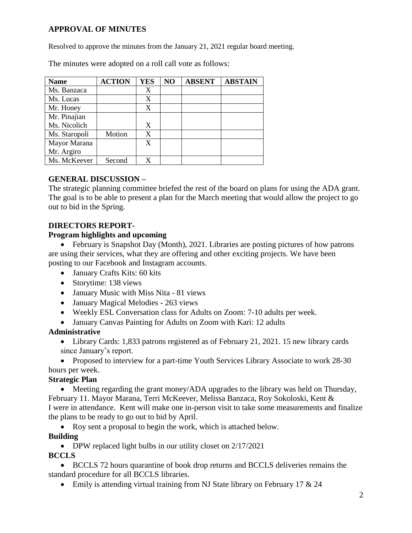# **APPROVAL OF MINUTES**

Resolved to approve the minutes from the January 21, 2021 regular board meeting.

The minutes were adopted on a roll call vote as follows:

| <b>Name</b>   | <b>ACTION</b> | <b>YES</b> | NO | <b>ABSENT</b> | <b>ABSTAIN</b> |
|---------------|---------------|------------|----|---------------|----------------|
| Ms. Banzaca   |               | X          |    |               |                |
| Ms. Lucas     |               | X          |    |               |                |
| Mr. Honey     |               | X          |    |               |                |
| Mr. Pinajian  |               |            |    |               |                |
| Ms. Nicolich  |               | X          |    |               |                |
| Ms. Staropoli | Motion        | X          |    |               |                |
| Mayor Marana  |               | X          |    |               |                |
| Mr. Argiro    |               |            |    |               |                |
| Ms. McKeever  | Second        | X          |    |               |                |

# **GENERAL DISCUSSION –**

The strategic planning committee briefed the rest of the board on plans for using the ADA grant. The goal is to be able to present a plan for the March meeting that would allow the project to go out to bid in the Spring.

### **DIRECTORS REPORT-**

### **Program highlights and upcoming**

• February is Snapshot Day (Month), 2021. Libraries are posting pictures of how patrons are using their services, what they are offering and other exciting projects. We have been posting to our Facebook and Instagram accounts.

- January Crafts Kits: 60 kits
- Storytime: 138 views
- January Music with Miss Nita 81 views
- January Magical Melodies 263 views
- Weekly ESL Conversation class for Adults on Zoom: 7-10 adults per week.
- January Canvas Painting for Adults on Zoom with Kari: 12 adults

# **Administrative**

 Library Cards: 1,833 patrons registered as of February 21, 2021. 15 new library cards since January's report.

• Proposed to interview for a part-time Youth Services Library Associate to work 28-30 hours per week.

### **Strategic Plan**

 Meeting regarding the grant money/ADA upgrades to the library was held on Thursday, February 11. Mayor Marana, Terri McKeever, Melissa Banzaca, Roy Sokoloski, Kent & I were in attendance. Kent will make one in-person visit to take some measurements and finalize the plans to be ready to go out to bid by April.

• Roy sent a proposal to begin the work, which is attached below.

# **Building**

• DPW replaced light bulbs in our utility closet on 2/17/2021

### **BCCLS**

 BCCLS 72 hours quarantine of book drop returns and BCCLS deliveries remains the standard procedure for all BCCLS libraries.

• Emily is attending virtual training from NJ State library on February 17  $& 24$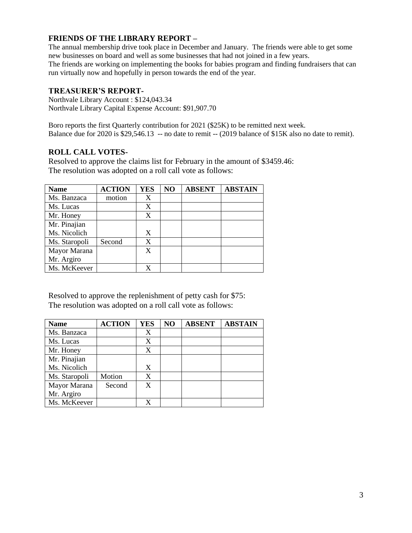### **FRIENDS OF THE LIBRARY REPORT –**

The annual membership drive took place in December and January. The friends were able to get some new businesses on board and well as some businesses that had not joined in a few years. The friends are working on implementing the books for babies program and finding fundraisers that can run virtually now and hopefully in person towards the end of the year.

#### **TREASURER'S REPORT-**

Northvale Library Account : \$124,043.34 Northvale Library Capital Expense Account: \$91,907.70

Boro reports the first Quarterly contribution for 2021 (\$25K) to be remitted next week. Balance due for 2020 is \$29,546.13 -- no date to remit -- (2019 balance of \$15K also no date to remit).

#### **ROLL CALL VOTES-**

Resolved to approve the claims list for February in the amount of \$3459.46: The resolution was adopted on a roll call vote as follows:

| <b>Name</b>   | <b>ACTION</b> | <b>YES</b> | NO | <b>ABSENT</b> | <b>ABSTAIN</b> |
|---------------|---------------|------------|----|---------------|----------------|
| Ms. Banzaca   | motion        | X          |    |               |                |
| Ms. Lucas     |               | X          |    |               |                |
| Mr. Honey     |               | X          |    |               |                |
| Mr. Pinajian  |               |            |    |               |                |
| Ms. Nicolich  |               | X          |    |               |                |
| Ms. Staropoli | Second        | X          |    |               |                |
| Mayor Marana  |               | X          |    |               |                |
| Mr. Argiro    |               |            |    |               |                |
| Ms. McKeever  |               |            |    |               |                |

Resolved to approve the replenishment of petty cash for \$75: The resolution was adopted on a roll call vote as follows:

| <b>Name</b>   | <b>ACTION</b> | <b>YES</b> | NO | <b>ABSENT</b> | <b>ABSTAIN</b> |
|---------------|---------------|------------|----|---------------|----------------|
| Ms. Banzaca   |               | X          |    |               |                |
| Ms. Lucas     |               | X          |    |               |                |
| Mr. Honey     |               | X          |    |               |                |
| Mr. Pinajian  |               |            |    |               |                |
| Ms. Nicolich  |               | X          |    |               |                |
| Ms. Staropoli | Motion        | X          |    |               |                |
| Mayor Marana  | Second        | X          |    |               |                |
| Mr. Argiro    |               |            |    |               |                |
| Ms. McKeever  |               | X          |    |               |                |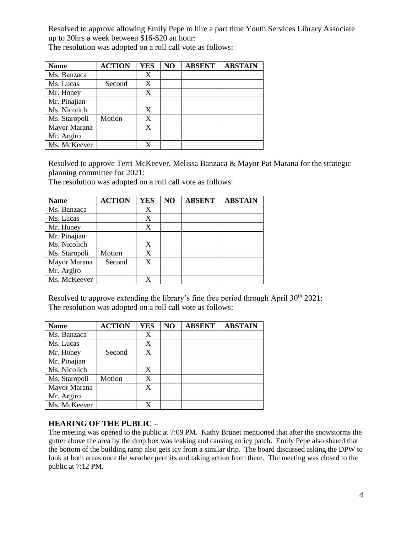Resolved to approve allowing Emily Pepe to hire a part time Youth Services Library Associate up to 30hrs a week between \$16-\$20 an hour:

The resolution was adopted on a roll call vote as follows:

| <b>Name</b>   | <b>ACTION</b> | <b>YES</b> | NO | <b>ABSENT</b> | <b>ABSTAIN</b> |
|---------------|---------------|------------|----|---------------|----------------|
| Ms. Banzaca   |               | X          |    |               |                |
| Ms. Lucas     | Second        | X          |    |               |                |
| Mr. Honey     |               | X          |    |               |                |
| Mr. Pinajian  |               |            |    |               |                |
| Ms. Nicolich  |               | X          |    |               |                |
| Ms. Staropoli | Motion        | X          |    |               |                |
| Mayor Marana  |               | X          |    |               |                |
| Mr. Argiro    |               |            |    |               |                |
| Ms. McKeever  |               |            |    |               |                |

Resolved to approve Terri McKeever, Melissa Banzaca & Mayor Pat Marana for the strategic planning committee for 2021:

The resolution was adopted on a roll call vote as follows:

| <b>Name</b>   | <b>ACTION</b> | <b>YES</b> | NO | <b>ABSENT</b> | <b>ABSTAIN</b> |
|---------------|---------------|------------|----|---------------|----------------|
| Ms. Banzaca   |               | X          |    |               |                |
| Ms. Lucas     |               | X          |    |               |                |
| Mr. Honey     |               | X          |    |               |                |
| Mr. Pinajian  |               |            |    |               |                |
| Ms. Nicolich  |               | X          |    |               |                |
| Ms. Staropoli | Motion        | X          |    |               |                |
| Mayor Marana  | Second        | X          |    |               |                |
| Mr. Argiro    |               |            |    |               |                |
| Ms. McKeever  |               |            |    |               |                |

Resolved to approve extending the library's fine free period through April  $30<sup>th</sup> 2021$ : The resolution was adopted on a roll call vote as follows:

| <b>Name</b>   | <b>ACTION</b> | <b>YES</b> | NO | <b>ABSENT</b> | <b>ABSTAIN</b> |
|---------------|---------------|------------|----|---------------|----------------|
| Ms. Banzaca   |               | X          |    |               |                |
| Ms. Lucas     |               | X          |    |               |                |
| Mr. Honey     | Second        | X          |    |               |                |
| Mr. Pinajian  |               |            |    |               |                |
| Ms. Nicolich  |               | X          |    |               |                |
| Ms. Staropoli | Motion        | X          |    |               |                |
| Mayor Marana  |               | X          |    |               |                |
| Mr. Argiro    |               |            |    |               |                |
| Ms. McKeever  |               |            |    |               |                |

### **HEARING OF THE PUBLIC –**

The meeting was opened to the public at 7:09 PM. Kathy Brunet mentioned that after the snowstorms the gutter above the area by the drop box was leaking and causing an icy patch. Emily Pepe also shared that the bottom of the building ramp also gets icy from a similar drip. The board discussed asking the DPW to look at both areas once the weather permits and taking action from there. The meeting was closed to the public at 7:12 PM.